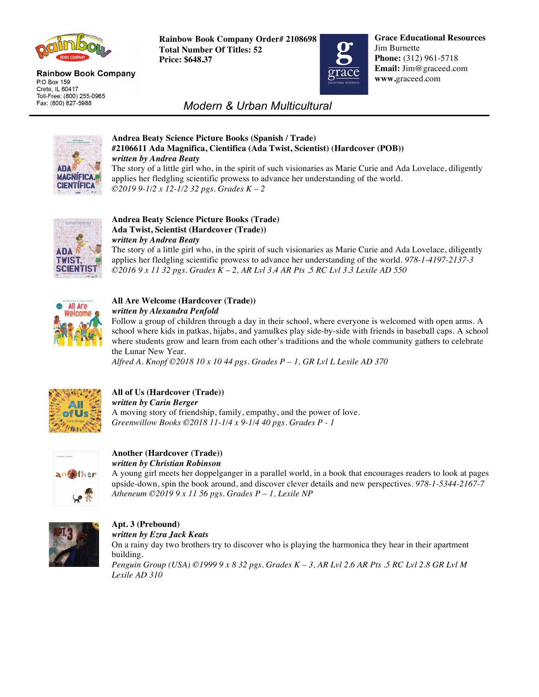

#### **Rainbow Book Company** P.O Box 159 Crete, IL 60417 Toll-Free: (800) 255-0965 Fax: (800) 827-5988

**Rainbow Book Company Order# 2108698 Total Number Of Titles: 52 Price: \$648.37**



**Grace Educational Resources** Jim Burnette **Phone:** (312) 961-5718 **Email:** Jim@graceed.com **www.**graceed.com

# *Modern & Urban Multicultural*



### **Andrea Beaty Science Picture Books (Spanish / Trade) #2106611 Ada Magnifica, Cientifica (Ada Twist, Scientist) (Hardcover (POB))** *written by Andrea Beaty*

The story of a little girl who, in the spirit of such visionaries as Marie Curie and Ada Lovelace, diligently applies her fledgling scientific prowess to advance her understanding of the world. *©2019 9-1/2 x 12-1/2 32 pgs. Grades K – 2*



## **Andrea Beaty Science Picture Books (Trade) Ada Twist, Scientist (Hardcover (Trade))**  *written by Andrea Beaty*

The story of a little girl who, in the spirit of such visionaries as Marie Curie and Ada Lovelace, diligently applies her fledgling scientific prowess to advance her understanding of the world. *978-1-4197-2137-3 ©2016 9 x 11 32 pgs. Grades K – 2, AR Lvl 3.4 AR Pts .5 RC Lvl 3.3 Lexile AD 550* 



### **All Are Welcome (Hardcover (Trade))**  *written by Alexandra Penfold*

Follow a group of children through a day in their school, where everyone is welcomed with open arms. A school where kids in patkas, hijabs, and yamulkes play side-by-side with friends in baseball caps. A school where students grow and learn from each other's traditions and the whole community gathers to celebrate the Lunar New Year.

*Alfred A. Knopf ©2018 10 x 10 44 pgs. Grades P – 1, GR Lvl L Lexile AD 370* 



## **All of Us (Hardcover (Trade))**  *written by Carin Berger*

A moving story of friendship, family, empathy, and the power of love. *Greenwillow Books ©2018 11-1/4 x 9-1/4 40 pgs. Grades P - 1*



### **Another (Hardcover (Trade))**  *written by Christian Robinson*

A young girl meets her doppelganger in a parallel world, in a book that encourages readers to look at pages upside-down, spin the book around, and discover clever details and new perspectives. *978-1-5344-2167-7 Atheneum ©2019 9 x 11 56 pgs. Grades P – 1, Lexile NP* 



# **Apt. 3 (Prebound)**

*written by Ezra Jack Keats* 

On a rainy day two brothers try to discover who is playing the harmonica they hear in their apartment building. *Penguin Group (USA) ©1999 9 x 8 32 pgs. Grades K – 3, AR Lvl 2.6 AR Pts .5 RC Lvl 2.8 GR Lvl M Lexile AD 310*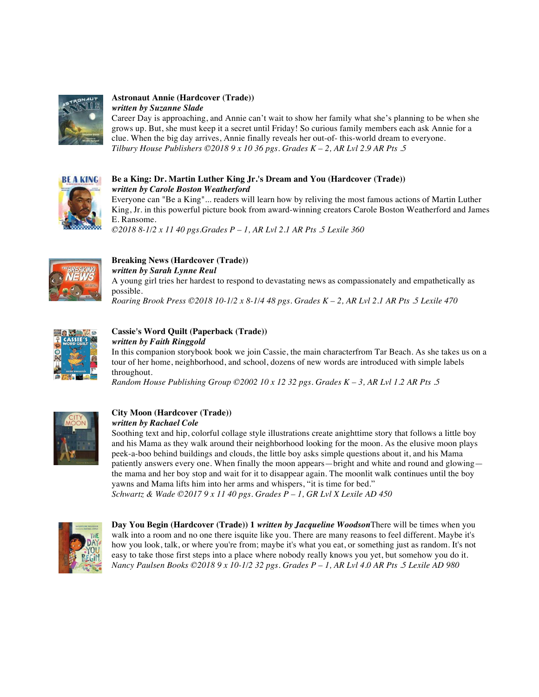

### **Astronaut Annie (Hardcover (Trade))**  *written by Suzanne Slade*

Career Day is approaching, and Annie can't wait to show her family what she's planning to be when she grows up. But, she must keep it a secret until Friday! So curious family members each ask Annie for a clue. When the big day arrives, Annie finally reveals her out-of- this-world dream to everyone. *Tilbury House Publishers ©2018 9 x 10 36 pgs. Grades K – 2, AR Lvl 2.9 AR Pts .5* 



### **Be a King: Dr. Martin Luther King Jr.'s Dream and You (Hardcover (Trade))** *written by Carole Boston Weatherford*

Everyone can "Be a King"... readers will learn how by reliving the most famous actions of Martin Luther King, Jr. in this powerful picture book from award-winning creators Carole Boston Weatherford and James E. Ransome.

*©2018 8-1/2 x 11 40 pgs.Grades P – 1, AR Lvl 2.1 AR Pts .5 Lexile 360* 



# **Breaking News (Hardcover (Trade))**

*written by Sarah Lynne Reul*  A young girl tries her hardest to respond to devastating news as compassionately and empathetically as possible.

*Roaring Brook Press ©2018 10-1/2 x 8-1/4 48 pgs. Grades K – 2, AR Lvl 2.1 AR Pts .5 Lexile 470* 



### **Cassie's Word Quilt (Paperback (Trade))**  *written by Faith Ringgold*

In this companion storybook book we join Cassie, the main characterfrom Tar Beach. As she takes us on a tour of her home, neighborhood, and school, dozens of new words are introduced with simple labels throughout.

*Random House Publishing Group ©2002 10 x 12 32 pgs. Grades K – 3, AR Lvl 1.2 AR Pts .5* 



# **City Moon (Hardcover (Trade))**

*written by Rachael Cole*

Soothing text and hip, colorful collage style illustrations create anighttime story that follows a little boy and his Mama as they walk around their neighborhood looking for the moon. As the elusive moon plays peek-a-boo behind buildings and clouds, the little boy asks simple questions about it, and his Mama patiently answers every one. When finally the moon appears—bright and white and round and glowing the mama and her boy stop and wait for it to disappear again. The moonlit walk continues until the boy yawns and Mama lifts him into her arms and whispers, "it is time for bed."

*Schwartz & Wade ©2017 9 x 11 40 pgs. Grades P – 1, GR Lvl X Lexile AD 450* 



**Day You Begin (Hardcover (Trade)) 1** *written by Jacqueline Woodson*There will be times when you walk into a room and no one there isquite like you. There are many reasons to feel different. Maybe it's how you look, talk, or where you're from; maybe it's what you eat, or something just as random. It's not easy to take those first steps into a place where nobody really knows you yet, but somehow you do it. *Nancy Paulsen Books ©2018 9 x 10-1/2 32 pgs. Grades P – 1, AR Lvl 4.0 AR Pts .5 Lexile AD 980*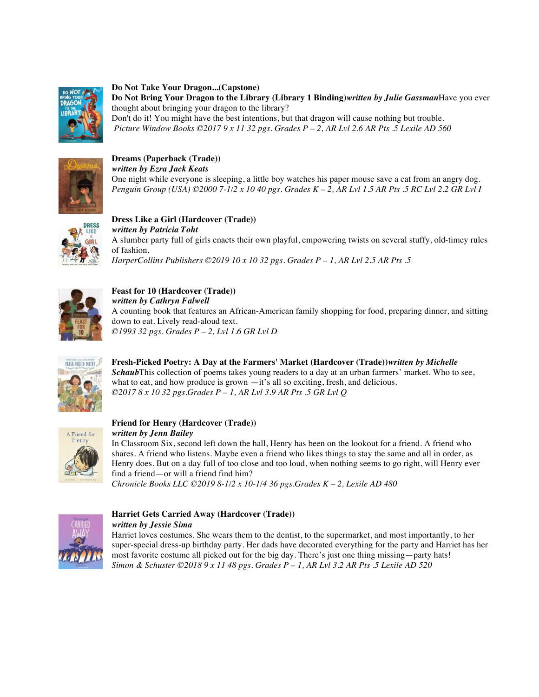

**Do Not Take Your Dragon...(Capstone) Do Not Bring Your Dragon to the Library (Library 1 Binding)***written by Julie Gassman*Have you ever thought about bringing your dragon to the library? Don't do it! You might have the best intentions, but that dragon will cause nothing but trouble. *Picture Window Books ©2017 9 x 11 32 pgs. Grades P – 2, AR Lvl 2.6 AR Pts .5 Lexile AD 560* 



**Dreams (Paperback (Trade))**  *written by Ezra Jack Keats*  One night while everyone is sleeping, a little boy watches his paper mouse save a cat from an angry dog. *Penguin Group (USA) ©2000 7-1/2 x 10 40 pgs. Grades K – 2, AR Lvl 1.5 AR Pts .5 RC Lvl 2.2 GR Lvl I* 



**Dress Like a Girl (Hardcover (Trade))**  *written by Patricia Toht*  A slumber party full of girls enacts their own playful, empowering twists on several stuffy, old-timey rules of fashion. *HarperCollins Publishers ©2019 10 x 10 32 pgs. Grades P – 1, AR Lvl 2.5 AR Pts .5* 



**Feast for 10 (Hardcover (Trade))**  *written by Cathryn Falwell*  A counting book that features an African-American family shopping for food, preparing dinner, and sitting down to eat. Lively read-aloud text. *©1993 32 pgs. Grades P – 2, Lvl 1.6 GR Lvl D* 



**Fresh-Picked Poetry: A Day at the Farmers' Market (Hardcover (Trade))***written by Michelle Schaub*This collection of poems takes young readers to a day at an urban farmers' market. Who to see, what to eat, and how produce is grown —it's all so exciting, fresh, and delicious. *©2017 8 x 10 32 pgs.Grades P – 1, AR Lvl 3.9 AR Pts .5 GR Lvl Q* 



# **Friend for Henry (Hardcover (Trade))**

*written by Jenn Bailey*  In Classroom Six, second left down the hall, Henry has been on the lookout for a friend. A friend who shares. A friend who listens. Maybe even a friend who likes things to stay the same and all in order, as Henry does. But on a day full of too close and too loud, when nothing seems to go right, will Henry ever find a friend—or will a friend find him?

*Chronicle Books LLC ©2019 8-1/2 x 10-1/4 36 pgs.Grades K – 2, Lexile AD 480* 



### **Harriet Gets Carried Away (Hardcover (Trade))**  *written by Jessie Sima*

Harriet loves costumes. She wears them to the dentist, to the supermarket, and most importantly, to her super-special dress-up birthday party. Her dads have decorated everything for the party and Harriet has her most favorite costume all picked out for the big day. There's just one thing missing—party hats! *Simon & Schuster ©2018 9 x 11 48 pgs. Grades P – 1, AR Lvl 3.2 AR Pts .5 Lexile AD 520*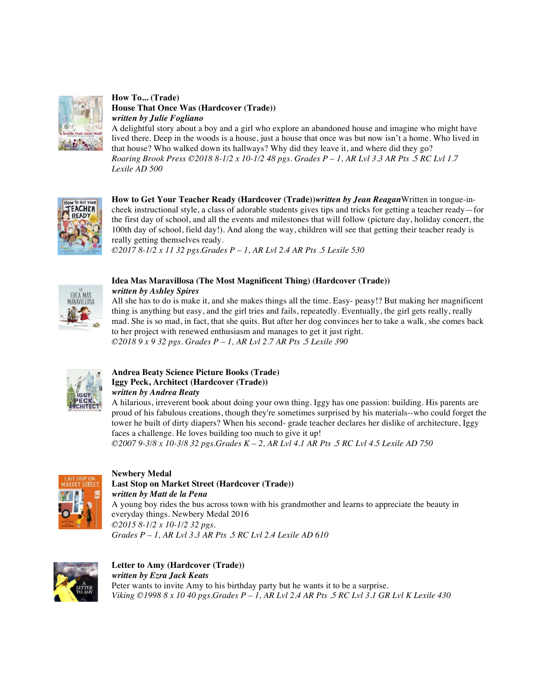

**How To... (Trade) House That Once Was (Hardcover (Trade))**  *written by Julie Fogliano* 

A delightful story about a boy and a girl who explore an abandoned house and imagine who might have lived there. Deep in the woods is a house, just a house that once was but now isn't a home. Who lived in that house? Who walked down its hallways? Why did they leave it, and where did they go? *Roaring Brook Press ©2018 8-1/2 x 10-1/2 48 pgs. Grades P – 1, AR Lvl 3.3 AR Pts .5 RC Lvl 1.7 Lexile AD 500* 



**How to Get Your Teacher Ready (Hardcover (Trade))***written by Jean Reagan*Written in tongue-incheek instructional style, a class of adorable students gives tips and tricks for getting a teacher ready—for the first day of school, and all the events and milestones that will follow (picture day, holiday concert, the 100th day of school, field day!). And along the way, children will see that getting their teacher ready is really getting themselves ready.

*©2017 8-1/2 x 11 32 pgs.Grades P – 1, AR Lvl 2.4 AR Pts .5 Lexile 530* 



## **Idea Mas Maravillosa (The Most Magnificent Thing) (Hardcover (Trade))**

*written by Ashley Spires* 

All she has to do is make it, and she makes things all the time. Easy- peasy!? But making her magnificent thing is anything but easy, and the girl tries and fails, repeatedly. Eventually, the girl gets really, really mad. She is so mad, in fact, that she quits. But after her dog convinces her to take a walk, she comes back to her project with renewed enthusiasm and manages to get it just right. *©2018 9 x 9 32 pgs. Grades P – 1, AR Lvl 2.7 AR Pts .5 Lexile 390* 



### **Andrea Beaty Science Picture Books (Trade) Iggy Peck, Architect (Hardcover (Trade))**  *written by Andrea Beaty*

A hilarious, irreverent book about doing your own thing. Iggy has one passion: building. His parents are proud of his fabulous creations, though they're sometimes surprised by his materials--who could forget the tower he built of dirty diapers? When his second- grade teacher declares her dislike of architecture, Iggy faces a challenge. He loves building too much to give it up!

*©2007 9-3/8 x 10-3/8 32 pgs.Grades K – 2, AR Lvl 4.1 AR Pts .5 RC Lvl 4.5 Lexile AD 750* 



## **Newbery Medal Last Stop on Market Street (Hardcover (Trade))**  *written by Matt de la Pena*  A young boy rides the bus across town with his grandmother and learns to appreciate the beauty in everyday things. Newbery Medal 2016

*©2015 8-1/2 x 10-1/2 32 pgs. Grades P – 1, AR Lvl 3.3 AR Pts .5 RC Lvl 2.4 Lexile AD 610* 



### **Letter to Amy (Hardcover (Trade))**  *written by Ezra Jack Keats*  Peter wants to invite Amy to his birthday party but he wants it to be a surprise. *Viking ©1998 8 x 10 40 pgs.Grades P – 1, AR Lvl 2.4 AR Pts .5 RC Lvl 3.1 GR Lvl K Lexile 430*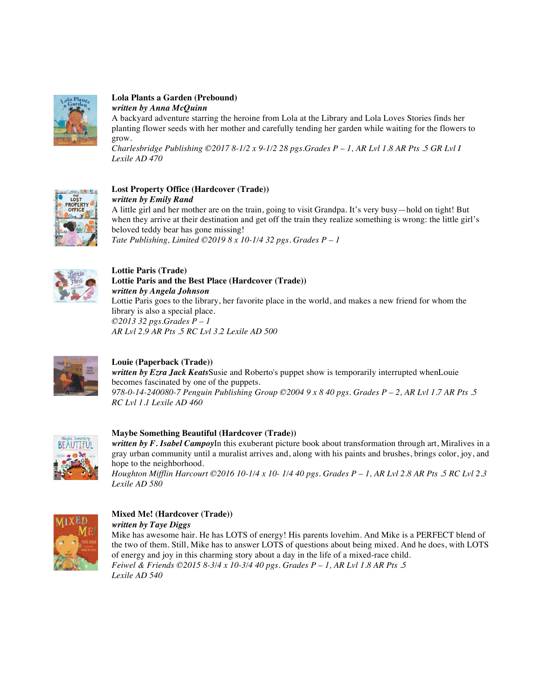

### **Lola Plants a Garden (Prebound)**  *written by Anna McQuinn*

A backyard adventure starring the heroine from Lola at the Library and Lola Loves Stories finds her planting flower seeds with her mother and carefully tending her garden while waiting for the flowers to grow.

*Charlesbridge Publishing ©2017 8-1/2 x 9-1/2 28 pgs.Grades P – 1, AR Lvl 1.8 AR Pts .5 GR Lvl I Lexile AD 470* 



### **Lost Property Office (Hardcover (Trade))**  *written by Emily Rand*

A little girl and her mother are on the train, going to visit Grandpa. It's very busy—hold on tight! But when they arrive at their destination and get off the train they realize something is wrong: the little girl's beloved teddy bear has gone missing! *Tate Publishing, Limited ©2019 8 x 10-1/4 32 pgs. Grades P – 1*



### **Lottie Paris (Trade) Lottie Paris and the Best Place (Hardcover (Trade))**  *written by Angela Johnson*  Lottie Paris goes to the library, her favorite place in the world, and makes a new friend for whom the

library is also a special place. *©2013 32 pgs.Grades P – 1 AR Lvl 2.9 AR Pts .5 RC Lvl 3.2 Lexile AD 500* 



# **Louie (Paperback (Trade))**

*written by Ezra Jack Keats*Susie and Roberto's puppet show is temporarily interrupted whenLouie becomes fascinated by one of the puppets. *978-0-14-240080-7 Penguin Publishing Group ©2004 9 x 8 40 pgs. Grades P – 2, AR Lvl 1.7 AR Pts .5 RC Lvl 1.1 Lexile AD 460* 



# **Maybe Something Beautiful (Hardcover (Trade))**

*written by F. Isabel Campoy*In this exuberant picture book about transformation through art, Miralives in a gray urban community until a muralist arrives and, along with his paints and brushes, brings color, joy, and hope to the neighborhood.

*Houghton Mifflin Harcourt ©2016 10-1/4 x 10- 1/4 40 pgs. Grades P – 1, AR Lvl 2.8 AR Pts .5 RC Lvl 2.3 Lexile AD 580* 



# **Mixed Me! (Hardcover (Trade))**

*written by Taye Diggs*

Mike has awesome hair. He has LOTS of energy! His parents lovehim. And Mike is a PERFECT blend of the two of them. Still, Mike has to answer LOTS of questions about being mixed. And he does, with LOTS of energy and joy in this charming story about a day in the life of a mixed-race child. *Feiwel & Friends ©2015 8-3/4 x 10-3/4 40 pgs. Grades P – 1, AR Lvl 1.8 AR Pts .5 Lexile AD 540*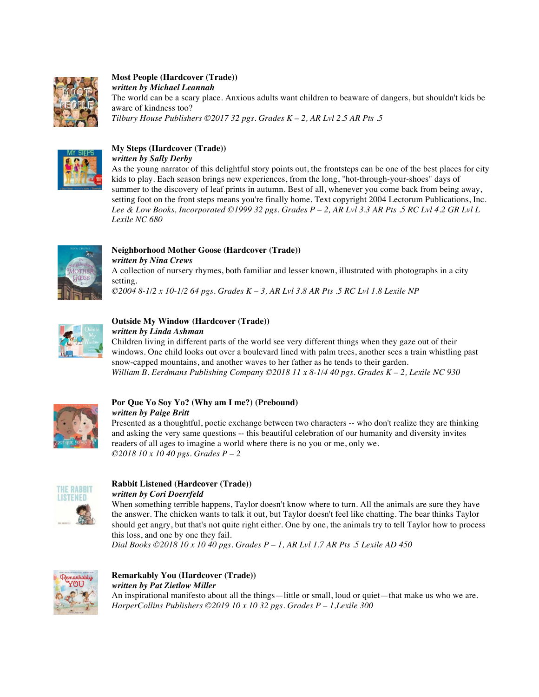

**Most People (Hardcover (Trade))**  *written by Michael Leannah* The world can be a scary place. Anxious adults want children to beaware of dangers, but shouldn't kids be aware of kindness too? *Tilbury House Publishers ©2017 32 pgs. Grades K – 2, AR Lvl 2.5 AR Pts .5* 



# **My Steps (Hardcover (Trade))**

*written by Sally Derby*

As the young narrator of this delightful story points out, the frontsteps can be one of the best places for city kids to play. Each season brings new experiences, from the long, "hot-through-your-shoes" days of summer to the discovery of leaf prints in autumn. Best of all, whenever you come back from being away, setting foot on the front steps means you're finally home. Text copyright 2004 Lectorum Publications, Inc. *Lee & Low Books, Incorporated ©1999 32 pgs. Grades P – 2, AR Lvl 3.3 AR Pts .5 RC Lvl 4.2 GR Lvl L Lexile NC 680* 



**Neighborhood Mother Goose (Hardcover (Trade))** 

*written by Nina Crews*  A collection of nursery rhymes, both familiar and lesser known, illustrated with photographs in a city

setting. *©2004 8-1/2 x 10-1/2 64 pgs. Grades K – 3, AR Lvl 3.8 AR Pts .5 RC Lvl 1.8 Lexile NP* 



# **Outside My Window (Hardcover (Trade))**

*written by Linda Ashman* 

Children living in different parts of the world see very different things when they gaze out of their windows. One child looks out over a boulevard lined with palm trees, another sees a train whistling past snow-capped mountains, and another waves to her father as he tends to their garden. *William B. Eerdmans Publishing Company ©2018 11 x 8-1/4 40 pgs. Grades K – 2, Lexile NC 930* 



### **Por Que Yo Soy Yo? (Why am I me?) (Prebound)**  *written by Paige Britt*

Presented as a thoughtful, poetic exchange between two characters -- who don't realize they are thinking and asking the very same questions -- this beautiful celebration of our humanity and diversity invites readers of all ages to imagine a world where there is no you or me, only we. *©2018 10 x 10 40 pgs. Grades P – 2*



### **Rabbit Listened (Hardcover (Trade))**  *written by Cori Doerrfeld*

When something terrible happens, Taylor doesn't know where to turn. All the animals are sure they have the answer. The chicken wants to talk it out, but Taylor doesn't feel like chatting. The bear thinks Taylor should get angry, but that's not quite right either. One by one, the animals try to tell Taylor how to process this loss, and one by one they fail.

*Dial Books ©2018 10 x 10 40 pgs. Grades P – 1, AR Lvl 1.7 AR Pts .5 Lexile AD 450* 



# **Remarkably You (Hardcover (Trade))**  *written by Pat Zietlow Miller*

An inspirational manifesto about all the things—little or small, loud or quiet—that make us who we are. *HarperCollins Publishers ©2019 10 x 10 32 pgs. Grades P – 1,Lexile 300*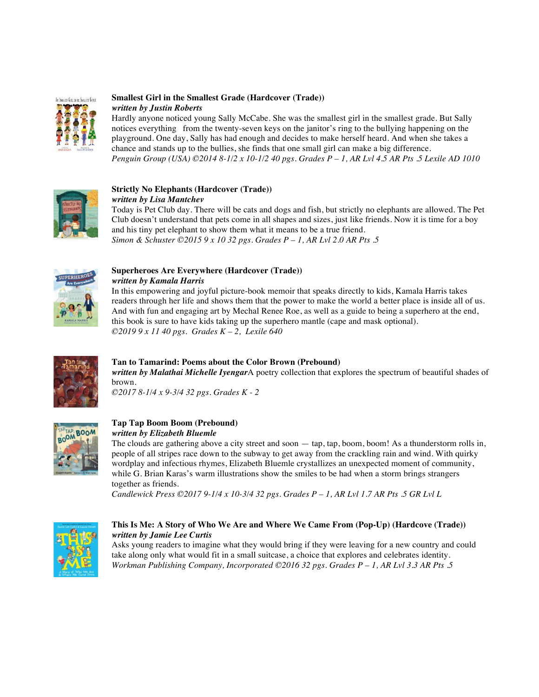

### **Smallest Girl in the Smallest Grade (Hardcover (Trade))** *written by Justin Roberts*

Hardly anyone noticed young Sally McCabe. She was the smallest girl in the smallest grade. But Sally notices everything from the twenty-seven keys on the janitor's ring to the bullying happening on the playground. One day, Sally has had enough and decides to make herself heard. And when she takes a chance and stands up to the bullies, she finds that one small girl can make a big difference. *Penguin Group (USA) ©2014 8-1/2 x 10-1/2 40 pgs. Grades P – 1, AR Lvl 4.5 AR Pts .5 Lexile AD 1010* 



### **Strictly No Elephants (Hardcover (Trade))**  *written by Lisa Mantchev*

Today is Pet Club day. There will be cats and dogs and fish, but strictly no elephants are allowed. The Pet Club doesn't understand that pets come in all shapes and sizes, just like friends. Now it is time for a boy and his tiny pet elephant to show them what it means to be a true friend. *Simon & Schuster ©2015 9 x 10 32 pgs. Grades P – 1, AR Lvl 2.0 AR Pts .5* 



### **Superheroes Are Everywhere (Hardcover (Trade))**  *written by Kamala Harris*

In this empowering and joyful picture-book memoir that speaks directly to kids, Kamala Harris takes readers through her life and shows them that the power to make the world a better place is inside all of us. And with fun and engaging art by Mechal Renee Roe, as well as a guide to being a superhero at the end, this book is sure to have kids taking up the superhero mantle (cape and mask optional). *©2019 9 x 11 40 pgs. Grades K – 2, Lexile 640* 



# **Tan to Tamarind: Poems about the Color Brown (Prebound)**

*written by Malathai Michelle Iyengar*A poetry collection that explores the spectrum of beautiful shades of brown.

*©2017 8-1/4 x 9-3/4 32 pgs. Grades K - 2*



# **Tap Tap Boom Boom (Prebound)**

### *written by Elizabeth Bluemle*

The clouds are gathering above a city street and soon — tap, tap, boom, boom! As a thunderstorm rolls in, people of all stripes race down to the subway to get away from the crackling rain and wind. With quirky wordplay and infectious rhymes, Elizabeth Bluemle crystallizes an unexpected moment of community, while G. Brian Karas's warm illustrations show the smiles to be had when a storm brings strangers together as friends.

*Candlewick Press ©2017 9-1/4 x 10-3/4 32 pgs. Grades P – 1, AR Lvl 1.7 AR Pts .5 GR Lvl L* 



### **This Is Me: A Story of Who We Are and Where We Came From (Pop-Up) (Hardcove (Trade))** *written by Jamie Lee Curtis*

Asks young readers to imagine what they would bring if they were leaving for a new country and could take along only what would fit in a small suitcase, a choice that explores and celebrates identity. *Workman Publishing Company, Incorporated ©2016 32 pgs. Grades P – 1, AR Lvl 3.3 AR Pts .5*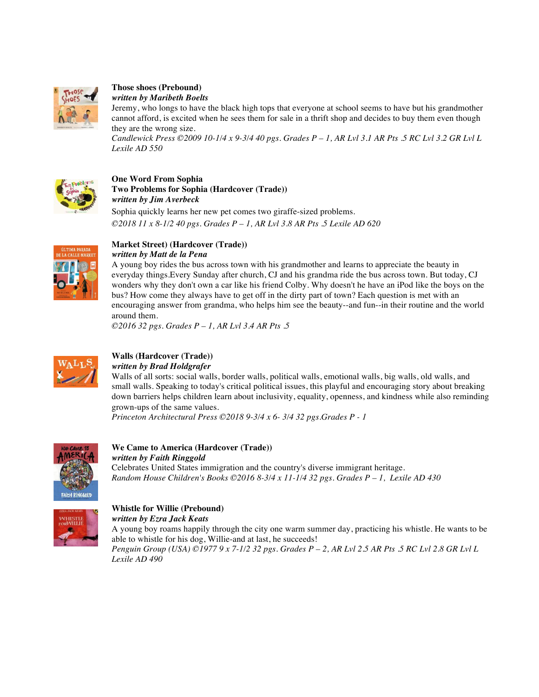

### **Those shoes (Prebound)**  *written by Maribeth Boelts*

Jeremy, who longs to have the black high tops that everyone at school seems to have but his grandmother cannot afford, is excited when he sees them for sale in a thrift shop and decides to buy them even though they are the wrong size.

*Candlewick Press ©2009 10-1/4 x 9-3/4 40 pgs. Grades P – 1, AR Lvl 3.1 AR Pts .5 RC Lvl 3.2 GR Lvl L Lexile AD 550* 



## **One Word From Sophia Two Problems for Sophia (Hardcover (Trade))**  *written by Jim Averbeck*

Sophia quickly learns her new pet comes two giraffe-sized problems. *©2018 11 x 8-1/2 40 pgs. Grades P – 1, AR Lvl 3.8 AR Pts .5 Lexile AD 620* 



### **Market Street) (Hardcover (Trade))**  *written by Matt de la Pena*

A young boy rides the bus across town with his grandmother and learns to appreciate the beauty in everyday things.Every Sunday after church, CJ and his grandma ride the bus across town. But today, CJ wonders why they don't own a car like his friend Colby. Why doesn't he have an iPod like the boys on the bus? How come they always have to get off in the dirty part of town? Each question is met with an encouraging answer from grandma, who helps him see the beauty--and fun--in their routine and the world around them.

*©2016 32 pgs. Grades P – 1, AR Lvl 3.4 AR Pts .5* 



### **Walls (Hardcover (Trade))**  *written by Brad Holdgrafer*

Walls of all sorts: social walls, border walls, political walls, emotional walls, big walls, old walls, and small walls. Speaking to today's critical political issues, this playful and encouraging story about breaking down barriers helps children learn about inclusivity, equality, openness, and kindness while also reminding grown-ups of the same values.

*Princeton Architectural Press ©2018 9-3/4 x 6- 3/4 32 pgs.Grades P - 1* 



### **We Came to America (Hardcover (Trade))**  *written by Faith Ringgold*

Celebrates United States immigration and the country's diverse immigrant heritage. *Random House Children's Books ©2016 8-3/4 x 11-1/4 32 pgs. Grades P – 1, Lexile AD 430* 



### **Whistle for Willie (Prebound)**  *written by Ezra Jack Keats*

A young boy roams happily through the city one warm summer day, practicing his whistle. He wants to be able to whistle for his dog, Willie-and at last, he succeeds! *Penguin Group (USA) ©1977 9 x 7-1/2 32 pgs. Grades P – 2, AR Lvl 2.5 AR Pts .5 RC Lvl 2.8 GR Lvl L Lexile AD 490*